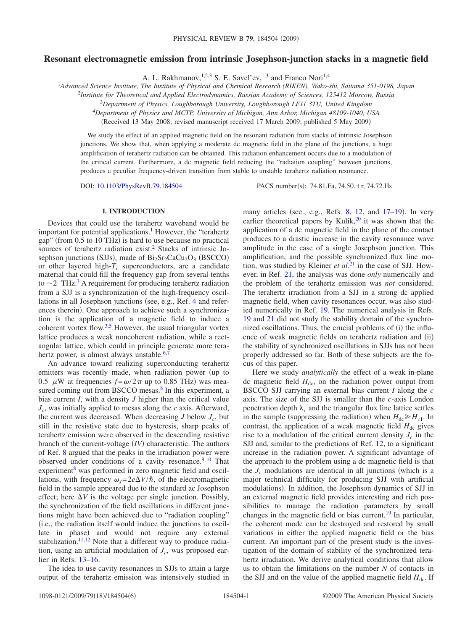# **Resonant electromagnetic emission from intrinsic Josephson-junction stacks in a magnetic field**

A. L. Rakhmanov,  $^{1,2,3}$  S. E. Savel'ev,  $^{1,3}$  and Franco Nori<sup>1,4</sup>

1 *Advanced Science Institute, The Institute of Physical and Chemical Research (RIKEN), Wako-shi, Saitama 351-0198, Japan*

2 *Institute for Theoretical and Applied Electrodynamics, Russian Academy of Sciences, 125412 Moscow, Russia*

<sup>3</sup>*Department of Physics, Loughborough University, Loughborough LE11 3TU, United Kingdom*

<sup>4</sup>*Department of Physics and MCTP, University of Michigan, Ann Arbor, Michigan 48109-1040, USA*

(Received 13 May 2008; revised manuscript received 17 March 2009; published 5 May 2009)

We study the effect of an applied magnetic field on the resonant radiation from stacks of intrinsic Josephson junctions. We show that, when applying a moderate dc magnetic field in the plane of the junctions, a huge amplification of terahertz radiation can be obtained. This radiation enhancement occurs due to a modulation of the critical current. Furthermore, a dc magnetic field reducing the "radiation coupling" between junctions, produces a peculiar frequency-driven transition from stable to unstable terahertz radiation resonance.

DOI: [10.1103/PhysRevB.79.184504](http://dx.doi.org/10.1103/PhysRevB.79.184504)

PACS number(s): 74.81.Fa, 74.50.+r, 74.72.Hs

### **I. INTRODUCTION**

Devices that could use the terahertz waveband would be important for potential applications.<sup>1</sup> However, the "terahertz gap" (from 0.5 to 10 THz) is hard to use because no practical sources of terahertz radiation exist.<sup>2</sup> Stacks of intrinsic Josephson junctions (SJJs), made of  $Bi_2Sr_2CaCu_2O_8$  (BSCCO) or other layered high- $T_c$  superconductors, are a candidate material that could fill the frequency gap from several tenths to  $\sim$  2 THz.<sup>3</sup> A requirement for producing terahertz radiation from a SJJ is a synchronization of the high-frequency oscil-lations in all Josephson junctions (see, e.g., Ref. [4](#page-5-3) and references therein). One approach to achieve such a synchronization is the application of a magnetic field to induce a coherent vortex flow.<sup>3[,5](#page-5-4)</sup> However, the usual triangular vortex lattice produces a weak noncoherent radiation, while a rectangular lattice, which could in principle generate more terahertz power, is almost always unstable. $6$ ,

An advance toward realizing superconducting terahertz emitters was recently made, when radiation power (up to 0.5  $\mu$ W at frequencies  $f = \omega/2\pi$  up to 0.85 THz) was measured coming out from BSCCO mesas.<sup>8</sup> In this experiment, a bias current *I*, with a density *J* higher than the critical value *Jc*, was initially applied to mesas along the *c* axis. Afterward, the current was decreased. When decreasing  $J$  below  $J_c$ , but still in the resistive state due to hysteresis, sharp peaks of terahertz emission were observed in the descending resistive branch of the current-voltage (IV) characteristic. The authors of Ref. [8](#page-5-7) argued that the peaks in the irradiation power were observed under conditions of a cavity resonance. $9,10$  $9,10$  That experiment $\delta$  was performed in zero magnetic field and oscillations, with frequency  $\omega_I = 2e\Delta V/\hbar$ , of the electromagnetic field in the sample appeared due to the standard ac Josephson effect; here  $\Delta V$  is the voltage per single junction. Possibly, the synchronization of the field oscillations in different junctions might have been achieved due to "radiation coupling" i.e., the radiation itself would induce the junctions to oscillate in phase) and would not require any external stabilization. $11,12$  $11,12$  Note that a different way to produce radiation, using an artificial modulation of  $J_c$ , was proposed earlier in Refs. [13](#page-5-12)[–16.](#page-5-13)

The idea to use cavity resonances in SJJs to attain a large output of the terahertz emission was intensively studied in

many articles (see., e.g., Refs.  $8$ ,  $12$ , and  $17-19$  $17-19$ ). In very earlier theoretical papers by Kulik, $^{20}$  it was shown that the application of a dc magnetic field in the plane of the contact produces to a drastic increase in the cavity resonance wave amplitude in the case of a single Josephson junction. This amplification, and the possible synchronized flux line motion, was studied by Kleiner *et al.*[21](#page-5-17) in the case of SJJ. However, in Ref. [21,](#page-5-17) the analysis was done *only* numerically and the problem of the terahertz emission was *not* considered. The terahertz irradiation from a SJJ in a strong dc applied magnetic field, when cavity resonances occur, was also studied numerically in Ref. [19.](#page-5-15) The numerical analysis in Refs. [19](#page-5-15) and [21](#page-5-17) did not study the stability domain of the synchronized oscillations. Thus, the crucial problems of (i) the influence of weak magnetic fields on terahertz radiation and (ii) the stability of synchronized oscillations in SJJs has not been properly addressed so far. Both of these subjects are the focus of this paper.

Here we study *analytically* the effect of a weak in-plane dc magnetic field  $H_{dc}$ , on the radiation power output from BSCCO SJJ carrying an external bias current *I* along the *c* axis. The size of the SJJ is smaller than the *c*-axis London penetration depth  $\lambda_c$  and the triangular flux line lattice settles in the sample (suppressing the radiation) when  $H_{dc} \ge H_{c1}$ . In contrast, the application of a weak magnetic field  $H_{dc}$  gives rise to a modulation of the critical current density  $J_c$  in the SJJ and, similar to the predictions of Ref. [12,](#page-5-11) to a significant increase in the radiation power. A significant advantage of the approach to the problem using a dc magnetic field is that the  $J_c$  modulations are identical in all junctions (which is a major technical difficulty for producing SJJ with artificial modulations). In addition, the Josephson dynamics of SJJ in an external magnetic field provides interesting and rich possibilities to manage the radiation parameters by small changes in the magnetic field or bias current.<sup>19</sup> In particular, the coherent mode can be destroyed and restored by small variations in either the applied magnetic field or the bias current. An important part of the present study is the investigation of the domain of stability of the synchronized terahertz irradiation. We derive analytical conditions that allow us to obtain the limitations on the number *N* of contacts in the SJJ and on the value of the applied magnetic field  $H_{dc}$ . If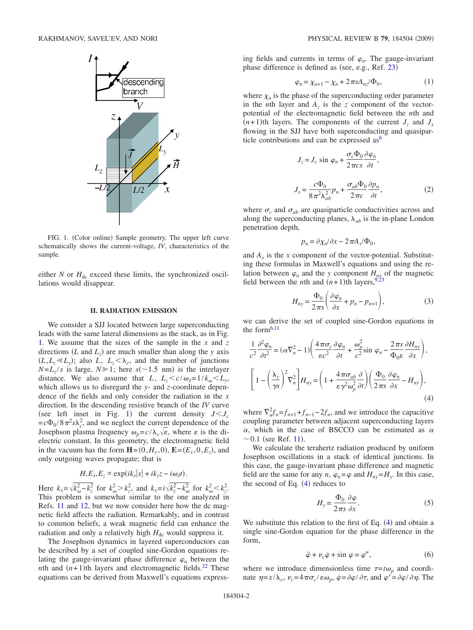<span id="page-1-0"></span>

FIG. 1. (Color online) Sample geometry. The upper left curve schematically shows the current-voltage, *IV*, characteristics of the sample.

either  $N$  or  $H_{dc}$  exceed these limits, the synchronized oscillations would disappear.

#### **II. RADIATION EMISSION**

We consider a SJJ located between large superconducting leads with the same lateral dimensions as the stack, as in Fig. [1.](#page-1-0) We assume that the sizes of the sample in the *x* and *z* directions  $(L \text{ and } L_z)$  are much smaller than along the *y* axis  $(L, L_z \ll L_y)$ ; also *L*,  $L_z < \lambda_c$ , and the number of junctions  $N=L_z/s$  is large,  $N \ge 1$ ; here  $s(\sim 1.5 \text{ nm})$  is the interlayer distance. We also assume that *L*,  $L_z \le c/\omega_J = 1/k_\omega \le L_y$ , which allows us to disregard the *y*- and *z*-coordinate dependence of the fields and only consider the radiation in the *x* direction. In the descending resistive branch of the *IV* curve (see left inset in Fig. [1](#page-1-0)) the current density  $J < J_c$  $= c\Phi_0 / 8\pi^2 s \lambda_c^2$ , and we neglect the current dependence of the Josephson plasma frequency  $\omega_p = c/\lambda_c \sqrt{\epsilon}$ , where  $\epsilon$  is the dielectric constant. In this geometry, the electromagnetic field in the vacuum has the form  $\mathbf{H} = (0, H_y, 0), \mathbf{E} = (E_x, 0, E_z)$ , and only outgoing waves propagate; that is

$$
H, E_x, E_z \propto \exp(ik_x|x| + ik_z z - i\omega_J t).
$$

Here  $k_x = \sqrt{k_{\omega}^2 - k_z^2}$  for  $k_{\omega}^2 > k_z^2$ , and  $k_x = i\sqrt{k_z^2 - k_{\omega}^2}$  for  $k_{\omega}^2 < k_z^2$ . This problem is somewhat similar to the one analyzed in Refs. [11](#page-5-10) and [12,](#page-5-11) but we now consider here how the dc magnetic field affects the radiation. Remarkably, and in contrast to common beliefs, a weak magnetic field can enhance the radiation and only a relatively high  $H_{dc}$  would suppress it.

The Josephson dynamics in layered superconductors can be described by a set of coupled sine-Gordon equations relating the gauge-invariant phase difference  $\varphi_n$  between the *n*th and  $(n+1)$ th layers and electromagnetic fields.<sup>22</sup> These equations can be derived from Maxwell's equations expressing fields and currents in terms of  $\varphi_n$ . The gauge-invariant phase difference is defined as (see, e.g., Ref. [23](#page-5-19))

$$
\varphi_n = \chi_{n+1} - \chi_n + 2\pi s A_{nz} / \Phi_0,\tag{1}
$$

where  $\chi_n$  is the phase of the superconducting order parameter in the *n*th layer and  $A_z$  is the *z* component of the vectorpotential of the electromagnetic field between the *n*th and  $(n+1)$ th layers. The components of the current  $J_z$  and  $J_x$ flowing in the SJJ have both superconducting and quasiparticle contributions and can be expressed as  $6\frac{1}{2}$ 

$$
J_z = J_c \sin \varphi_n + \frac{\sigma_c \Phi_0}{2 \pi c s} \frac{\partial \varphi_n}{\partial t},
$$
  

$$
J_x = \frac{c \Phi_0}{8 \pi^2 \lambda_{ab}^2} p_n + \frac{\sigma_{ab} \Phi_0}{2 \pi c} \frac{\partial p_n}{\partial t},
$$
 (2)

where  $\sigma_c$  and  $\sigma_{ab}$  are quasiparticle conductivities across and along the superconducting planes,  $\lambda_{ab}$  is the in-plane London penetration depth,

$$
p_n = \partial \chi_n / \partial x - 2 \pi A_x / \Phi_0,
$$

and  $A_x$  is the *x* component of the vector-potential. Substituting these formulas in Maxwell's equations and using the relation between  $\varphi_n$  and the *y* component  $H_{ny}$  of the magnetic field between the *n*th and  $(n+1)$ th layers, <sup>9,[23](#page-5-19)</sup>

$$
H_{ny} = \frac{\Phi_0}{2\pi s} \left( \frac{\partial \varphi_n}{\partial x} + p_n - p_{n+1} \right),\tag{3}
$$

we can derive the set of coupled sine-Gordon equations in the form $6,11$  $6,11$ 

<span id="page-1-1"></span>
$$
\frac{1}{c^2} \frac{\partial^2 \varphi_n}{\partial t^2} = (\alpha \nabla_n^2 - 1) \left( \frac{4 \pi \sigma_c}{\varepsilon c^2} \frac{\partial \varphi_n}{\partial t} + \frac{\omega_p^2}{c^2} \sin \varphi_n - \frac{2 \pi s}{\Phi_0 \varepsilon} \frac{\partial H_{ny}}{\partial x} \right),
$$
  

$$
\left[ 1 - \left( \frac{\lambda_c}{\gamma s} \right)^2 \nabla_n^2 \right] H_{ny} = \left( 1 + \frac{4 \pi \sigma_{ab}}{\varepsilon \gamma^2 \omega_p^2} \frac{\partial}{\partial t} \right) \left( \frac{\Phi_0}{2 \pi s} \frac{\partial \varphi_n}{\partial x} - H_{ny} \right),
$$
(4)

where  $\nabla_n^2 f_n = f_{n+1} + f_{n-1} - 2f_n$ , and we introduce the capacitive coupling parameter between adjacent superconducting layers  $\alpha$ , which in the case of BSCCO can be estimated as  $\alpha$  $\sim 0.1$  (see Ref. [11](#page-5-10)).

We calculate the terahertz radiation produced by uniform Josephson oscillations in a stack of identical junctions. In this case, the gauge-invariant phase difference and magnetic field are the same for any *n*,  $\varphi_n = \varphi$  and  $H_{nv} = H_v$ . In this case, the second of Eq.  $(4)$  $(4)$  $(4)$  reduces to

$$
H_{y} = \frac{\Phi_{0}}{2\pi s} \frac{\partial \varphi}{\partial x}.
$$
 (5)

<span id="page-1-3"></span>We substitute this relation to the first of Eq.  $(4)$  $(4)$  $(4)$  and obtain a single sine-Gordon equation for the phase difference in the form,

$$
\ddot{\varphi} + \nu_c \dot{\varphi} + \sin \varphi = \varphi'', \tag{6}
$$

<span id="page-1-2"></span>where we introduce dimensionless time  $\tau = t\omega_p$  and coordinate  $\eta = x/\lambda_c$ ,  $\nu_c = 4\pi \sigma_c / \varepsilon \omega_p$ ,  $\dot{\varphi} = \partial \varphi / \partial \tau$ , and  $\varphi' = \partial \varphi / \partial \eta$ . The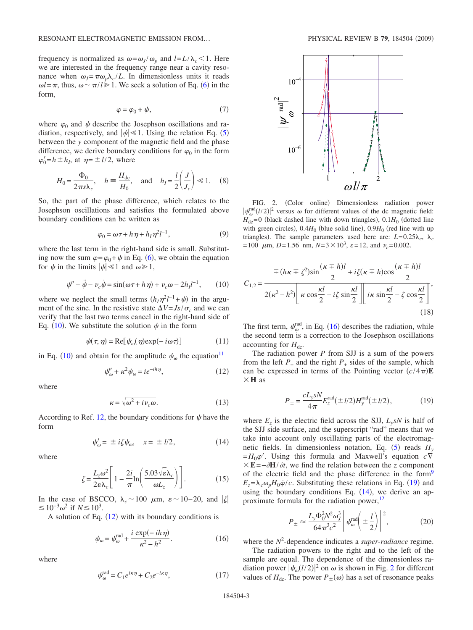frequency is normalized as  $\omega = \omega_J / \omega_p$  and  $l = L / \lambda_c < 1$ . Here we are interested in the frequency range near a cavity resonance when  $\omega_I = \pi \omega_p \lambda_c / L$ . In dimensionless units it reads  $\omega l = \pi$ , thus,  $\omega \sim \pi / l \ge 1$ . We seek a solution of Eq. ([6](#page-1-2)) in the form,

$$
\varphi = \varphi_0 + \psi,\tag{7}
$$

<span id="page-2-0"></span>where  $\varphi_0$  and  $\psi$  describe the Josephson oscillations and radiation, respectively, and  $|\psi| \ll 1$ . Using the relation Eq. ([5](#page-1-3)) between the *y* component of the magnetic field and the phase difference, we derive boundary conditions for  $\varphi_0$  in the form  $\varphi'_0 = h \pm h_I$ , at  $\eta = \pm l/2$ , where

$$
H_0 = \frac{\Phi_0}{2\pi s \lambda_c}, \quad h \equiv \frac{H_{dc}}{H_0}, \quad \text{and} \quad h_I = \frac{l}{2} \left( \frac{J}{J_c} \right) \ll 1. \tag{8}
$$

So, the part of the phase difference, which relates to the Josephson oscillations and satisfies the formulated above boundary conditions can be written as

$$
\varphi_0 = \omega \tau + h \eta + h_I \eta^2 l^{-1},\tag{9}
$$

where the last term in the right-hand side is small. Substituting now the sum  $\varphi = \varphi_0 + \psi$  in Eq. ([6](#page-1-2)), we obtain the equation for  $\psi$  in the limits  $|\psi| \ll 1$  and  $\omega \gg 1$ ,

$$
\psi'' - \ddot{\psi} - \nu_c \dot{\psi} = \sin(\omega \tau + h \eta) + \nu_c \omega - 2h_l l^{-1}, \qquad (10)
$$

where we neglect the small terms  $(h_l \eta^2 l^{-1} + \psi)$  in the argument of the sine. In the resistive state  $\Delta V = Js/\sigma_c$  and we can verify that the last two terms cancel in the right-hand side of Eq. ([10](#page-2-0)). We substitute the solution  $\psi$  in the form

$$
\psi(\tau, \eta) = \text{Re}[\psi_{\omega}(\eta) \exp(-i\omega \tau)] \tag{11}
$$

in Eq. ([10](#page-2-0)) and obtain for the amplitude  $\psi_{\omega}$  the equation<sup>11</sup>

$$
\psi''_{\omega} + \kappa^2 \psi_{\omega} = ie^{-ih\eta},\tag{12}
$$

<span id="page-2-1"></span>where

$$
\kappa = \sqrt{\omega^2 + i\nu_c \omega}.
$$
 (13)

According to Ref. [12,](#page-5-11) the boundary conditions for  $\psi$  have the form

$$
\psi'_{\omega} = \pm i\zeta \psi_{\omega}, \quad x = \pm l/2, \tag{14}
$$

<span id="page-2-4"></span>where

$$
\zeta = \frac{L_z \omega^2}{2\varepsilon \lambda_c} \left[ 1 - \frac{2i}{\pi} \ln \left( \frac{5.03 \sqrt{\varepsilon} \lambda_c}{\omega L_z} \right) \right].
$$
 (15)

In the case of BSCCO,  $\lambda_c \sim 100 \mu \text{m}$ ,  $\varepsilon \sim 10-20$ , and  $|\zeta|$  $\leq 10^{-3}ω^2$  if *N*  $\leq 10^3$ .

A solution of Eq.  $(12)$  $(12)$  $(12)$  with its boundary conditions is

$$
\psi_{\omega} = \psi_{\omega}^{\text{rad}} + \frac{i \exp(-ih \eta)}{\kappa^2 - h^2}.
$$
\n(16)

<span id="page-2-2"></span>where

$$
\psi_{\omega}^{\text{rad}} = C_1 e^{i\kappa \eta} + C_2 e^{-i\kappa \eta},\tag{17}
$$

<span id="page-2-5"></span>

FIG. 2. (Color online) Dimensionless radiation power  $|\psi_{\omega}^{\text{rad}}(l/2)|^2$  versus  $\omega$  for different values of the dc magnetic field:  $H_{\text{dc}}$ =0 (black dashed line with down triangles),  $0.1H_0$  (dotted line with green circles),  $0.4H_0$  (blue solid line),  $0.9H_0$  (red line with up triangles). The sample parameters used here are:  $L=0.25\lambda_c$ ,  $\lambda_c$  $= 100 \mu \text{m}, D = 1.56 \text{ nm}, N = 3 \times 10^3, \varepsilon = 12, \text{ and } \nu_c = 0.002.$ 

$$
C_{1,2} = \frac{\mp (h\kappa \mp \zeta^2)\sin\frac{(\kappa \mp h)l}{2} + i\zeta(\kappa \mp h)\cos\frac{(\kappa \mp h)l}{2}}{2(\kappa^2 - h^2)\left[\kappa \cos\frac{\kappa l}{2} - i\zeta \sin\frac{\kappa l}{2}\right] \left[i\kappa \sin\frac{\kappa l}{2} - \zeta \cos\frac{\kappa l}{2}\right]},
$$
\n(18)

The first term,  $\psi_{\omega}^{\text{rad}}$ , in Eq. ([16](#page-2-2)) describes the radiation, while the second term is a correction to the Josephson oscillations accounting for  $H_{dc}$ .

The radiation power *P* from SJJ is a sum of the powers from the left  $P_$  and the right  $P_+$  sides of the sample, which can be expressed in terms of the Pointing vector  $(c/4\pi)$ **E H** as

$$
P_{\pm} = \frac{cL_{y}sN}{4\pi} E_{z}^{\text{rad}}(\pm l/2)H_{y}^{\text{rad}}(\pm l/2), \qquad (19)
$$

<span id="page-2-3"></span>where  $E_z$  is the electric field across the SJJ,  $L_v sN$  is half of the SJJ side surface, and the superscript "rad" means that we take into account only oscillating parts of the electromagnetic fields. In dimensionless notation, Eq.  $(5)$  $(5)$  $(5)$  reads  $H<sub>y</sub>$  $=$   $H_0\varphi'$ . Using this formula and Maxwell's equation  $c\nabla$  $E = -\partial H / \partial t$ , we find the relation between the *z* component of the electric field and the phase difference in the form<sup>9</sup>  $E_z = \lambda_c \omega_p H_0 \dot{\varphi}/c$ . Substituting these relations in Eq. ([19](#page-2-3)) and using the boundary conditions Eq.  $(14)$  $(14)$  $(14)$ , we derive an approximate formula for the radiation power, $^{12}$ 

$$
P_{\pm} \approx \frac{L_{\rm y}\Phi_0^2 N^2 \omega_J^3}{64\pi^3 c^2} \left| \psi_{\omega}^{\rm rad} \left( \pm \frac{l}{2} \right) \right|^2, \tag{20}
$$

<span id="page-2-6"></span>where the *N*<sup>2</sup> -dependence indicates a *super-radiance* regime.

The radiation powers to the right and to the left of the sample are equal. The dependence of the dimensionless radiation power  $|\psi_{\omega}(l/2)|^2$  $|\psi_{\omega}(l/2)|^2$  $|\psi_{\omega}(l/2)|^2$  on  $\omega$  is shown in Fig. 2 for different values of  $H_{\text{dc}}$ . The power  $P_{\pm}(\omega)$  has a set of resonance peaks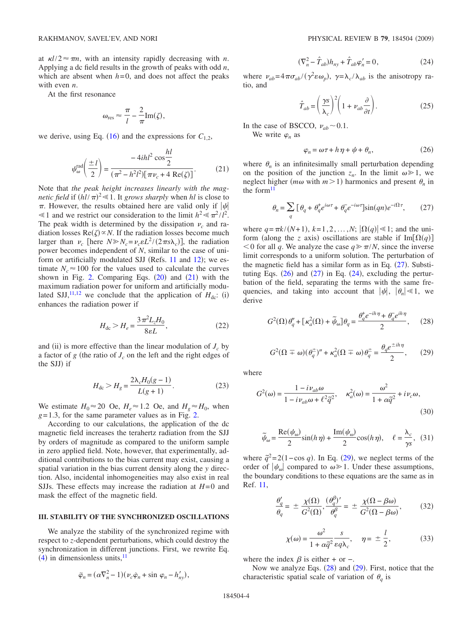at  $\kappa l/2 \approx \pi n$ , with an intensity rapidly decreasing with *n*. Applying a dc field results in the growth of peaks with odd *n*, which are absent when  $h=0$ , and does not affect the peaks with even *n*.

At the first resonance

$$
\omega_{\rm res} \approx \frac{\pi}{l} - \frac{2}{\pi} \text{Im}(\zeta),
$$

we derive, using Eq. ([16](#page-2-2)) and the expressions for  $C_{1,2}$ ,

$$
\psi_{\omega}^{\text{rad}}\left(\frac{\pm l}{2}\right) = \frac{-4ihl^{2}\cos\frac{hl}{2}}{(\pi^{2}-h^{2}l^{2})[\pi\nu_{c}+4\text{ Re}(\zeta)]}.
$$
 (21)

<span id="page-3-0"></span>Note that *the peak height increases linearly with the magnetic field* if  $(hl/\pi)^2 \ll 1$ . It *grows sharply* when *hl* is close to  $\pi$ . However, the results obtained here are valid only if  $|\psi|$  $\leq 1$  and we restrict our consideration to the limit  $h^2 \leq \pi^2/l^2$ . The peak width is determined by the dissipation  $\nu_c$  and radiation losses  $\text{Re}(\zeta) \propto N$ . If the radiation losses become much larger than  $\nu_c$  [here  $N \gg N_c = \nu_c \varepsilon L^2 / (2 \pi s \lambda_c)$ ], the radiation power becomes independent of *N*, similar to the case of uni-form or artificially modulated SJJ (Refs. [11](#page-5-10) and [12](#page-5-11)); we estimate  $N_c \approx 100$  for the values used to calculate the curves shown in Fig. [2.](#page-2-5) Comparing Eqs.  $(20)$  $(20)$  $(20)$  and  $(21)$  $(21)$  $(21)$  with the maximum radiation power for uniform and artificially modu-lated SJJ,<sup>[11,](#page-5-10)[12](#page-5-11)</sup> we conclude that the application of  $H_{dc}$ : (i) enhances the radiation power if

$$
H_{\rm dc} > H_e = \frac{3\pi^2 L_z H_0}{8\varepsilon L},\tag{22}
$$

and (ii) is more effective than the linear modulation of  $J_c$  by a factor of  $g$  (the ratio of  $J_c$  on the left and the right edges of the SJJ) if

$$
H_{\rm dc} > H_g = \frac{2\lambda_c H_0 (g-1)}{L(g+1)}.\tag{23}
$$

We estimate  $H_0 \approx 20$  Oe,  $H_e \approx 1.2$  Oe, and  $H_g \approx H_0$ , when  $g=1.3$ , for the same parameter values as in Fig. [2.](#page-2-5)

According to our calculations, the application of the dc magnetic field increases the terahertz radiation from the SJJ by orders of magnitude as compared to the uniform sample in zero applied field. Note, however, that experimentally, additional contributions to the bias current may exist, causing a spatial variation in the bias current density along the *y* direction. Also, incidental inhomogeneities may also exist in real SJJs. These effects may increase the radiation at *H*=0 and mask the effect of the magnetic field.

### **III. STABILITY OF THE SYNCHRONIZED OSCILLATIONS**

We analyze the stability of the synchronized regime with respect to *z*-dependent perturbations, which could destroy the synchronization in different junctions. First, we rewrite Eq.  $(4)$  $(4)$  $(4)$  in dimensionless units,  $\frac{11}{2}$ 

<span id="page-3-3"></span>
$$
\ddot{\varphi}_n = (\alpha \nabla_n^2 - 1)(\nu_c \dot{\varphi}_n + \sin \varphi_n - h'_{ny}),
$$

$$
(\nabla_n^2 - \hat{T}_{ab})h_{ny} + \hat{T}_{ab}\varphi'_n = 0, \qquad (24)
$$

where  $v_{ab} = 4\pi\sigma_{ab}/(\gamma^2 \epsilon \omega_p)$ ,  $\gamma = \lambda_c/\lambda_{ab}$  is the anisotropy ratio, and

$$
\hat{T}_{ab} = \left(\frac{\gamma s}{\lambda_c}\right)^2 \left(1 + \nu_{ab} \frac{\partial}{\partial t}\right). \tag{25}
$$

In the case of BSCCO,  $v_{ab}$  ~ 0.1.

We write  $\varphi_n$  as

$$
\varphi_n = \omega \tau + h \eta + \psi + \theta_n, \qquad (26)
$$

<span id="page-3-2"></span>where  $\theta_n$  is an infinitesimally small perturbation depending on the position of the junction  $z_n$ . In the limit  $\omega \ge 1$ , we neglect higher ( $m\omega$  with  $m>1$ ) harmonics and present  $\theta_n$  in the form $11$ 

$$
\theta_n = \sum_q \left[ \theta_q + \theta_q^* e^{i\omega \tau} + \theta_q^- e^{-i\omega \tau} \right] \sin(qn) e^{-i\Omega \tau},\qquad(27)
$$

<span id="page-3-1"></span>where  $q = \pi k / (N+1)$ ,  $k = 1, 2, ..., N$ ;  $|\Omega(q)| \le 1$ ; and the uniform (along the *z* axis) oscillations are stable if  $Im[\Omega(q)]$  $0$  for all *q*. We analyze the case  $q \ge \pi/N$ , since the inverse limit corresponds to a uniform solution. The perturbation of the magnetic field has a similar form as in Eq.  $(27)$  $(27)$  $(27)$ . Substituting Eqs.  $(26)$  $(26)$  $(26)$  and  $(27)$  $(27)$  $(27)$  in Eq.  $(24)$  $(24)$  $(24)$ , excluding the perturbation of the field, separating the terms with the same frequencies, and taking into account that  $|\psi|$ ,  $|\theta_n| \ll 1$ , we derive

<span id="page-3-5"></span>
$$
G^{2}(\Omega)\theta_{q}^{"} + \left[\kappa_{a}^{2}(\Omega) + \tilde{\psi}_{\omega}\right]\theta_{q} = \frac{\theta_{q}^{+}e^{-ih\eta} + \theta_{q}^{-}e^{ih\eta}}{2},\qquad(28)
$$

$$
G^{2}(\Omega \mp \omega)(\theta_{q}^{\pm})'' + \kappa_{a}^{2}(\Omega \mp \omega)\theta_{q}^{\pm} = \frac{\theta_{q}e^{\pm ih\eta}}{2}, \qquad (29)
$$

<span id="page-3-4"></span>where

$$
G^{2}(\omega) = \frac{1 - i\nu_{ab}\omega}{1 - i\nu_{ab}\omega + \ell^{2}\tilde{q}^{2}}, \quad \kappa_{a}^{2}(\omega) = \frac{\omega^{2}}{1 + \alpha\tilde{q}^{2}} + i\nu_{c}\omega,
$$
\n(30)

$$
\widetilde{\psi}_{\omega} = \frac{\text{Re}(\psi_{\omega})}{2} \sin(h\,\eta) + \frac{\text{Im}(\psi_{\omega})}{2} \cos(h\,\eta), \quad \ell = \frac{\lambda_c}{\gamma s}, \tag{31}
$$

where  $\tilde{q}^2 = 2(1 - \cos q)$ . In Eq. ([29](#page-3-4)), we neglect terms of the order of  $|\psi_{\omega}|$  compared to  $\omega \ge 1$ . Under these assumptions, the boundary conditions to these equations are the same as in Ref. [11,](#page-5-10)

<span id="page-3-6"></span>
$$
\frac{\theta_q'}{\theta_q} = \pm \frac{\chi(\Omega)}{G^2(\Omega)}, \frac{(\theta_q^{\beta})'}{\theta_q^{\beta}} = \pm \frac{\chi(\Omega - \beta \omega)}{G^2(\Omega - \beta \omega)},
$$
(32)

$$
\chi(\omega) = \frac{\omega^2}{1 + \alpha \tilde{q}^2} \frac{s}{\varepsilon q \lambda_c}, \quad \eta = \pm \frac{l}{2}, \quad (33)
$$

where the index  $\beta$  is either + or −.

Now we analyze Eqs.  $(28)$  $(28)$  $(28)$  and  $(29)$  $(29)$  $(29)$ . First, notice that the characteristic spatial scale of variation of  $\theta_q$  is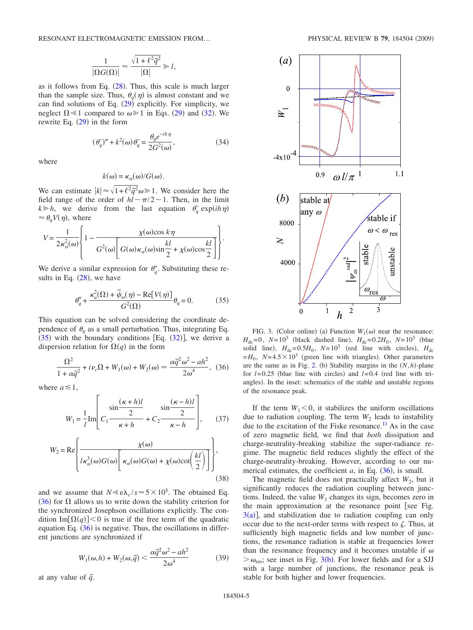RESONANT ELECTROMAGNETIC EMISSION FROM... PHYSICAL REVIEW B 79, 184504 (2009)

$$
\frac{1}{|\Omega G(\Omega)|} \approx \frac{\sqrt{1+\ell^2 \tilde{q}^2}}{|\Omega|} \gg l,
$$

as it follows from Eq.  $(28)$  $(28)$  $(28)$ . Thus, this scale is much larger than the sample size. Thus,  $\theta_q(\eta)$  is almost constant and we can find solutions of Eq.  $(29)$  $(29)$  $(29)$  explicitly. For simplicity, we neglect  $\Omega \leq 1$  compared to  $\omega \geq 1$  in Eqs. ([29](#page-3-4)) and ([32](#page-3-6)). We rewrite Eq.  $(29)$  $(29)$  $(29)$  in the form

$$
(\theta_q^{\prime})'' + k^2(\omega)\theta_q^{\prime} = \frac{\theta_q e^{-ih\eta}}{2G^2(\omega)},
$$
\n(34)

where

$$
k(\omega) = \kappa_{\alpha}(\omega) / G(\omega).
$$

We can estimate  $|k| \approx \sqrt{1 + \ell^2 \tilde{q}^2} \omega \ge 1$ . We consider here the field range of the order of  $hl \sim \pi/2 \sim 1$ . Then, in the limit  $k \geq h$ , we derive from the last equation  $\theta_q^-$  exp(*ih* $\eta$ )  $\approx \theta_q V(\eta)$ , where

$$
V = \frac{1}{2\kappa_{\alpha}^{2}(\omega)} \left\{ 1 - \frac{\chi(\omega)\cos k\eta}{G^{2}(\omega)\left[G(\omega)\kappa_{\alpha}(\omega)\sin\frac{kl}{2} + \chi(\omega)\cos\frac{kl}{2}\right]} \right\}.
$$

We derive a similar expression for  $\theta_q^+$ . Substituting these results in Eq.  $(28)$  $(28)$  $(28)$ , we have

$$
\theta''_q + \frac{\kappa_a^2(\Omega) + \tilde{\psi}_{\omega}(\eta) - \text{Re}[V(\eta)]}{G^2(\Omega)} \theta_q = 0.
$$
 (35)

<span id="page-4-0"></span>This equation can be solved considering the coordinate dependence of  $\theta_a$  as a small perturbation. Thus, integrating Eq.  $(35)$  $(35)$  $(35)$  with the boundary conditions [Eq.  $(32)$  $(32)$  $(32)$ ], we derive a dispersion relation for  $\Omega(q)$  in the form

$$
\frac{\Omega^2}{1 + \alpha \tilde{q}^2} + i\nu_c \Omega + W_1(\omega) + W_2(\omega) \approx \frac{\alpha \tilde{q}^2 \omega^2 - ah^2}{2\omega^4},
$$
 (36)

<span id="page-4-1"></span>where  $a \leq 1$ ,

$$
W_{1} = \frac{1}{l} \text{Im} \left[ C_{1} \frac{\sin \frac{(\kappa + h)l}{2}}{\kappa + h} + C_{2} \frac{\sin \frac{(\kappa - h)l}{2}}{\kappa - h} \right], \quad (37)
$$

$$
W_2 = \text{Re}\left\{\frac{\chi(\omega)}{l\kappa_\alpha^3(\omega)G(\omega)\left[\kappa_\alpha(\omega)G(\omega) + \chi(\omega)\text{cot}\left(\frac{kl}{2}\right)\right]}\right\},\tag{38}
$$

and we assume that  $N \ll \varepsilon \lambda_c / s \approx 5 \times 10^5$ . The obtained Eq. ([36](#page-4-1)) for  $\Omega$  allows us to write down the stability criterion for the synchronized Josephson oscillations explicitly. The condition Im[ $\Omega(q)$ ] < 0 is true if the free term of the quadratic equation Eq.  $(36)$  $(36)$  $(36)$  is negative. Thus, the oscillations in different junctions are synchronized if

$$
W_1(\omega, h) + W_2(\omega, \tilde{q}) < \frac{\alpha \tilde{q}^2 \omega^2 - ah^2}{2\omega^4} \tag{39}
$$

at any value of  $\tilde{q}$ .

<span id="page-4-2"></span>

FIG. 3. (Color online) (a) Function  $W_1(\omega)$  near the resonance:  $H_{\text{dc}} = 0$ ,  $N = 10^3$  (black dashed line),  $H_{\text{dc}} = 0.2H_0$ ,  $N = 10^3$  (blue solid line),  $H_{dc} = 0.5H_0$ ,  $N = 10^3$  (red line with circles),  $H_{dc}$  $=$ *H*<sub>0</sub>, *N*=4.5 $\times$ 10<sup>3</sup> (green line with triangles). Other parameters are the same as in Fig. [2.](#page-2-5) (b) Stability margins in the  $(N,h)$ -plane for  $l=0.25$  (blue line with circles) and  $l=0.4$  (red line with triangles). In the inset: schematics of the stable and unstable regions of the resonance peak.

If the term  $W_1 < 0$ , it stabilizes the uniform oscillations due to radiation coupling. The term  $W_2$  leads to instability due to the excitation of the Fiske resonance.<sup>11</sup> As in the case of zero magnetic field, we find that *both* dissipation and charge-neutrality-breaking stabilize the super-radiance regime. The magnetic field reduces slightly the effect of the charge-neutrality-breaking. However, according to our numerical estimates, the coefficient  $a$ , in Eq.  $(36)$  $(36)$  $(36)$ , is small.

The magnetic field does not practically affect  $W_2$ , but it significantly reduces the radiation coupling between junctions. Indeed, the value  $W_1$  changes its sign, becomes zero in the main approximation at the resonance point [see Fig.  $3(a)$  $3(a)$ , and stabilization due to radiation coupling can only occur due to the next-order terms with respect to  $\zeta$ . Thus, at sufficiently high magnetic fields and low number of junctions, the resonance radiation is stable at frequencies lower than the resonance frequency and it becomes unstable if  $\omega$  $> \omega_{\text{res}}$ ; see inset in Fig. [3](#page-4-2)(b). For lower fields and for a SJJ with a large number of junctions, the resonance peak is stable for both higher and lower frequencies.